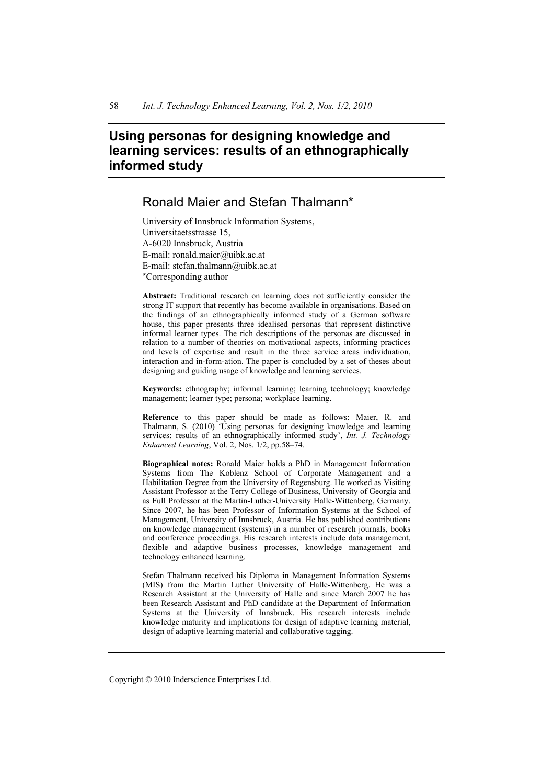# **Using personas for designing knowledge and learning services: results of an ethnographically informed study**

# Ronald Maier and Stefan Thalmann\*

University of Innsbruck Information Systems, Universitaetsstrasse 15, A-6020 Innsbruck, Austria E-mail: ronald.maier@uibk.ac.at E-mail: stefan.thalmann@uibk.ac.at \*Corresponding author

**Abstract:** Traditional research on learning does not sufficiently consider the strong IT support that recently has become available in organisations. Based on the findings of an ethnographically informed study of a German software house, this paper presents three idealised personas that represent distinctive informal learner types. The rich descriptions of the personas are discussed in relation to a number of theories on motivational aspects, informing practices and levels of expertise and result in the three service areas individuation, interaction and in-form-ation. The paper is concluded by a set of theses about designing and guiding usage of knowledge and learning services.

**Keywords:** ethnography; informal learning; learning technology; knowledge management; learner type; persona; workplace learning.

**Reference** to this paper should be made as follows: Maier, R. and Thalmann, S. (2010) 'Using personas for designing knowledge and learning services: results of an ethnographically informed study', *Int. J. Technology Enhanced Learning*, Vol. 2, Nos. 1/2, pp.58–74.

**Biographical notes:** Ronald Maier holds a PhD in Management Information Systems from The Koblenz School of Corporate Management and a Habilitation Degree from the University of Regensburg. He worked as Visiting Assistant Professor at the Terry College of Business, University of Georgia and as Full Professor at the Martin-Luther-University Halle-Wittenberg, Germany. Since 2007, he has been Professor of Information Systems at the School of Management, University of Innsbruck, Austria. He has published contributions on knowledge management (systems) in a number of research journals, books and conference proceedings. His research interests include data management, flexible and adaptive business processes, knowledge management and technology enhanced learning.

Stefan Thalmann received his Diploma in Management Information Systems (MIS) from the Martin Luther University of Halle-Wittenberg. He was a Research Assistant at the University of Halle and since March 2007 he has been Research Assistant and PhD candidate at the Department of Information Systems at the University of Innsbruck. His research interests include knowledge maturity and implications for design of adaptive learning material, design of adaptive learning material and collaborative tagging.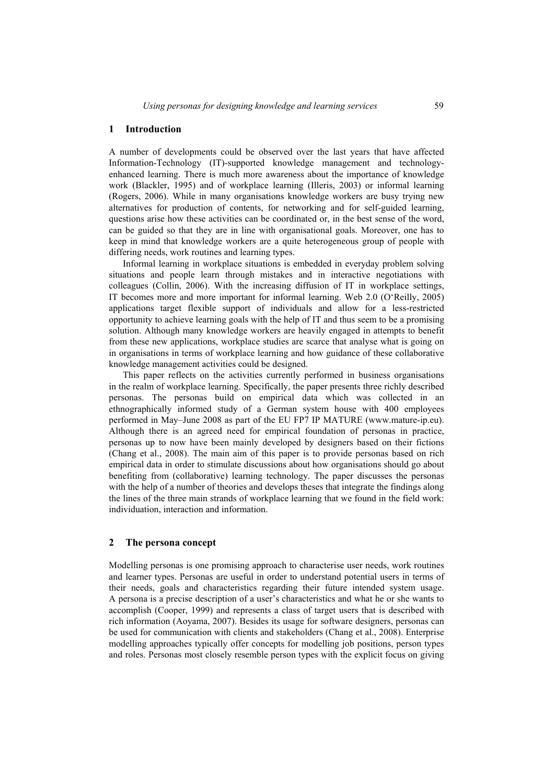### **1 Introduction**

A number of developments could be observed over the last years that have affected Information-Technology (IT)-supported knowledge management and technologyenhanced learning. There is much more awareness about the importance of knowledge work (Blackler, 1995) and of workplace learning (Illeris, 2003) or informal learning (Rogers, 2006). While in many organisations knowledge workers are busy trying new alternatives for production of contents, for networking and for self-guided learning, questions arise how these activities can be coordinated or, in the best sense of the word, can be guided so that they are in line with organisational goals. Moreover, one has to keep in mind that knowledge workers are a quite heterogeneous group of people with differing needs, work routines and learning types.

Informal learning in workplace situations is embedded in everyday problem solving situations and people learn through mistakes and in interactive negotiations with colleagues (Collin, 2006). With the increasing diffusion of IT in workplace settings, IT becomes more and more important for informal learning. Web 2.0 (O'Reilly, 2005) applications target flexible support of individuals and allow for a less-restricted opportunity to achieve learning goals with the help of IT and thus seem to be a promising solution. Although many knowledge workers are heavily engaged in attempts to benefit from these new applications, workplace studies are scarce that analyse what is going on in organisations in terms of workplace learning and how guidance of these collaborative knowledge management activities could be designed.

This paper reflects on the activities currently performed in business organisations in the realm of workplace learning. Specifically, the paper presents three richly described personas. The personas build on empirical data which was collected in an ethnographically informed study of a German system house with 400 employees performed in May–June 2008 as part of the EU FP7 IP MATURE (www.mature-ip.eu). Although there is an agreed need for empirical foundation of personas in practice, personas up to now have been mainly developed by designers based on their fictions (Chang et al., 2008). The main aim of this paper is to provide personas based on rich empirical data in order to stimulate discussions about how organisations should go about benefiting from (collaborative) learning technology. The paper discusses the personas with the help of a number of theories and develops theses that integrate the findings along the lines of the three main strands of workplace learning that we found in the field work: individuation, interaction and information.

#### **2 The persona concept**

Modelling personas is one promising approach to characterise user needs, work routines and learner types. Personas are useful in order to understand potential users in terms of their needs, goals and characteristics regarding their future intended system usage. A persona is a precise description of a user's characteristics and what he or she wants to accomplish (Cooper, 1999) and represents a class of target users that is described with rich information (Aoyama, 2007). Besides its usage for software designers, personas can be used for communication with clients and stakeholders (Chang et al., 2008). Enterprise modelling approaches typically offer concepts for modelling job positions, person types and roles. Personas most closely resemble person types with the explicit focus on giving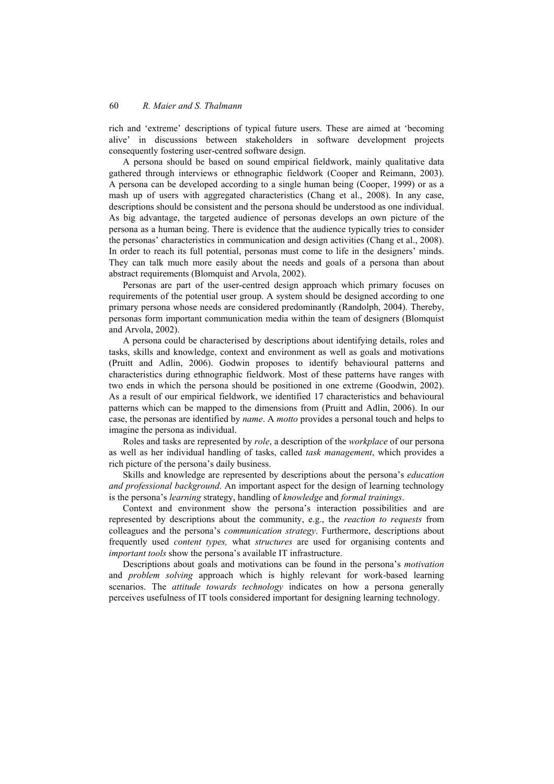rich and 'extreme' descriptions of typical future users. These are aimed at 'becoming alive' in discussions between stakeholders in software development projects consequently fostering user-centred software design.

A persona should be based on sound empirical fieldwork, mainly qualitative data gathered through interviews or ethnographic fieldwork (Cooper and Reimann, 2003). A persona can be developed according to a single human being (Cooper, 1999) or as a mash up of users with aggregated characteristics (Chang et al., 2008). In any case, descriptions should be consistent and the persona should be understood as one individual. As big advantage, the targeted audience of personas develops an own picture of the persona as a human being. There is evidence that the audience typically tries to consider the personas' characteristics in communication and design activities (Chang et al., 2008). In order to reach its full potential, personas must come to life in the designers' minds. They can talk much more easily about the needs and goals of a persona than about abstract requirements (Blomquist and Arvola, 2002).

Personas are part of the user-centred design approach which primary focuses on requirements of the potential user group. A system should be designed according to one primary persona whose needs are considered predominantly (Randolph, 2004). Thereby, personas form important communication media within the team of designers (Blomquist and Arvola, 2002).

A persona could be characterised by descriptions about identifying details, roles and tasks, skills and knowledge, context and environment as well as goals and motivations (Pruitt and Adlin, 2006). Godwin proposes to identify behavioural patterns and characteristics during ethnographic fieldwork. Most of these patterns have ranges with two ends in which the persona should be positioned in one extreme (Goodwin, 2002). As a result of our empirical fieldwork, we identified 17 characteristics and behavioural patterns which can be mapped to the dimensions from (Pruitt and Adlin, 2006). In our case, the personas are identified by *name*. A *motto* provides a personal touch and helps to imagine the persona as individual.

Roles and tasks are represented by *role*, a description of the *workplace* of our persona as well as her individual handling of tasks, called *task management*, which provides a rich picture of the persona's daily business.

Skills and knowledge are represented by descriptions about the persona's *education and professional background*. An important aspect for the design of learning technology is the persona's *learning* strategy, handling of *knowledge* and *formal trainings*.

Context and environment show the persona's interaction possibilities and are represented by descriptions about the community, e.g., the *reaction to requests* from colleagues and the persona's *communication strategy*. Furthermore, descriptions about frequently used *content types,* what *structures* are used for organising contents and *important tools* show the persona's available IT infrastructure.

Descriptions about goals and motivations can be found in the persona's *motivation* and *problem solving* approach which is highly relevant for work-based learning scenarios. The *attitude towards technology* indicates on how a persona generally perceives usefulness of IT tools considered important for designing learning technology.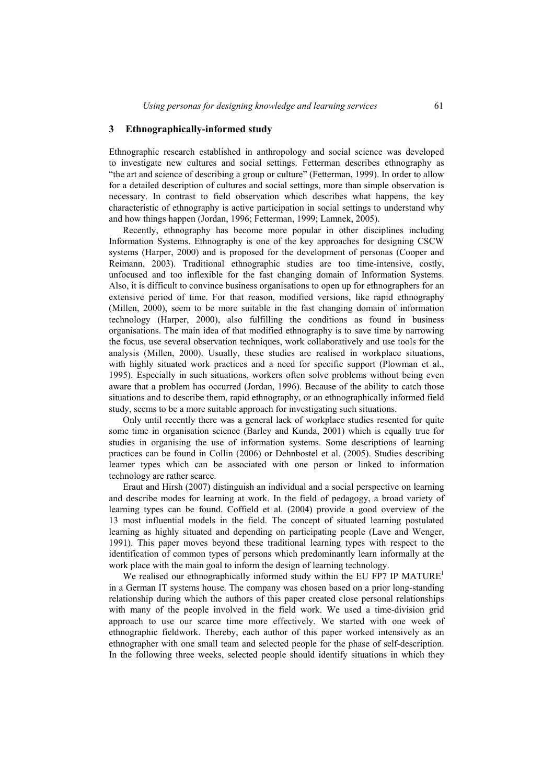# **3 Ethnographically-informed study**

Ethnographic research established in anthropology and social science was developed to investigate new cultures and social settings. Fetterman describes ethnography as "the art and science of describing a group or culture" (Fetterman, 1999). In order to allow for a detailed description of cultures and social settings, more than simple observation is necessary. In contrast to field observation which describes what happens, the key characteristic of ethnography is active participation in social settings to understand why and how things happen (Jordan, 1996; Fetterman, 1999; Lamnek, 2005).

Recently, ethnography has become more popular in other disciplines including Information Systems. Ethnography is one of the key approaches for designing CSCW systems (Harper, 2000) and is proposed for the development of personas (Cooper and Reimann, 2003). Traditional ethnographic studies are too time-intensive, costly, unfocused and too inflexible for the fast changing domain of Information Systems. Also, it is difficult to convince business organisations to open up for ethnographers for an extensive period of time. For that reason, modified versions, like rapid ethnography (Millen, 2000), seem to be more suitable in the fast changing domain of information technology (Harper, 2000), also fulfilling the conditions as found in business organisations. The main idea of that modified ethnography is to save time by narrowing the focus, use several observation techniques, work collaboratively and use tools for the analysis (Millen, 2000). Usually, these studies are realised in workplace situations, with highly situated work practices and a need for specific support (Plowman et al., 1995). Especially in such situations, workers often solve problems without being even aware that a problem has occurred (Jordan, 1996). Because of the ability to catch those situations and to describe them, rapid ethnography, or an ethnographically informed field study, seems to be a more suitable approach for investigating such situations.

Only until recently there was a general lack of workplace studies resented for quite some time in organisation science (Barley and Kunda, 2001) which is equally true for studies in organising the use of information systems. Some descriptions of learning practices can be found in Collin (2006) or Dehnbostel et al. (2005). Studies describing learner types which can be associated with one person or linked to information technology are rather scarce.

Eraut and Hirsh (2007) distinguish an individual and a social perspective on learning and describe modes for learning at work. In the field of pedagogy, a broad variety of learning types can be found. Coffield et al. (2004) provide a good overview of the 13 most influential models in the field. The concept of situated learning postulated learning as highly situated and depending on participating people (Lave and Wenger, 1991). This paper moves beyond these traditional learning types with respect to the identification of common types of persons which predominantly learn informally at the work place with the main goal to inform the design of learning technology.

We realised our ethnographically informed study within the EU FP7 IP  $MATURE<sup>1</sup>$ in a German IT systems house. The company was chosen based on a prior long-standing relationship during which the authors of this paper created close personal relationships with many of the people involved in the field work. We used a time-division grid approach to use our scarce time more effectively. We started with one week of ethnographic fieldwork. Thereby, each author of this paper worked intensively as an ethnographer with one small team and selected people for the phase of self-description. In the following three weeks, selected people should identify situations in which they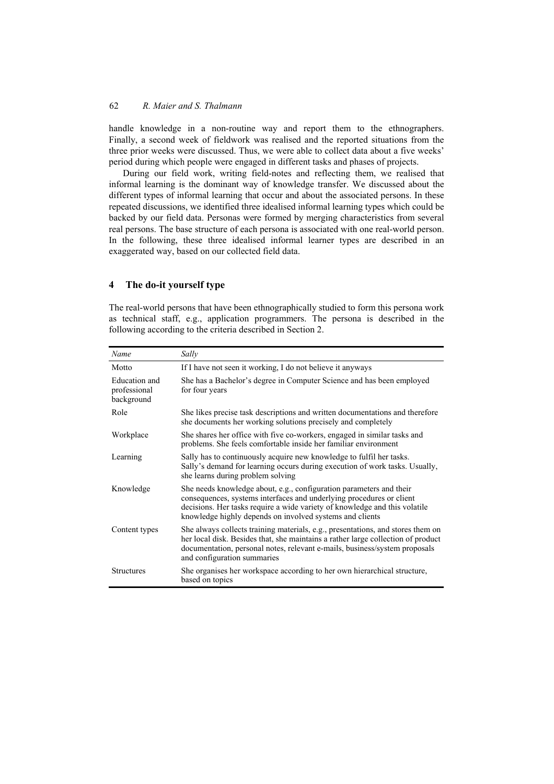handle knowledge in a non-routine way and report them to the ethnographers. Finally, a second week of fieldwork was realised and the reported situations from the three prior weeks were discussed. Thus, we were able to collect data about a five weeks' period during which people were engaged in different tasks and phases of projects.

During our field work, writing field-notes and reflecting them, we realised that informal learning is the dominant way of knowledge transfer. We discussed about the different types of informal learning that occur and about the associated persons. In these repeated discussions, we identified three idealised informal learning types which could be backed by our field data. Personas were formed by merging characteristics from several real persons. The base structure of each persona is associated with one real-world person. In the following, these three idealised informal learner types are described in an exaggerated way, based on our collected field data.

# **4 The do-it yourself type**

The real-world persons that have been ethnographically studied to form this persona work as technical staff, e.g., application programmers. The persona is described in the following according to the criteria described in Section 2.

| Name                                               | Sally                                                                                                                                                                                                                                                                                 |
|----------------------------------------------------|---------------------------------------------------------------------------------------------------------------------------------------------------------------------------------------------------------------------------------------------------------------------------------------|
| Motto                                              | If I have not seen it working, I do not believe it anyways                                                                                                                                                                                                                            |
| <b>Education</b> and<br>professional<br>background | She has a Bachelor's degree in Computer Science and has been employed<br>for four years                                                                                                                                                                                               |
| Role                                               | She likes precise task descriptions and written documentations and therefore<br>she documents her working solutions precisely and completely                                                                                                                                          |
| Workplace                                          | She shares her office with five co-workers, engaged in similar tasks and<br>problems. She feels comfortable inside her familiar environment                                                                                                                                           |
| Learning                                           | Sally has to continuously acquire new knowledge to fulfil her tasks.<br>Sally's demand for learning occurs during execution of work tasks. Usually,<br>she learns during problem solving                                                                                              |
| Knowledge                                          | She needs knowledge about, e.g., configuration parameters and their<br>consequences, systems interfaces and underlying procedures or client<br>decisions. Her tasks require a wide variety of knowledge and this volatile<br>knowledge highly depends on involved systems and clients |
| Content types                                      | She always collects training materials, e.g., presentations, and stores them on<br>her local disk. Besides that, she maintains a rather large collection of product<br>documentation, personal notes, relevant e-mails, business/system proposals<br>and configuration summaries      |
| <b>Structures</b>                                  | She organises her workspace according to her own hierarchical structure,<br>based on topics                                                                                                                                                                                           |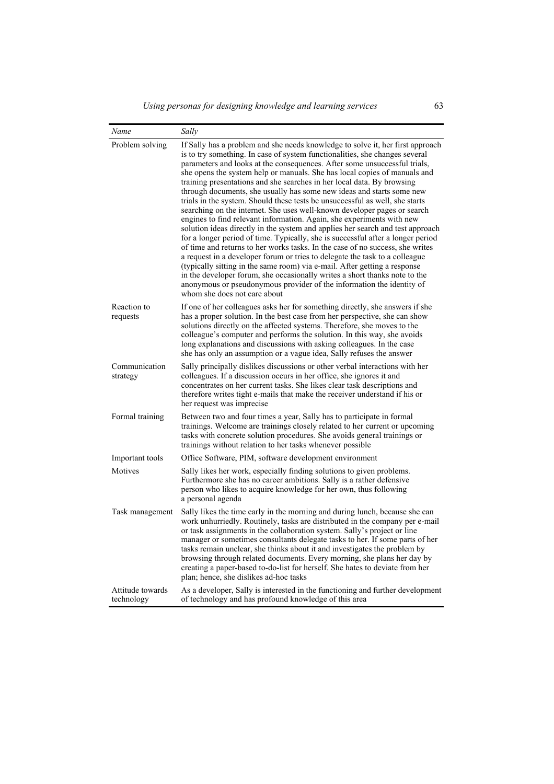| Name                           | Sally                                                                                                                                                                                                                                                                                                                                                                                                                                                                                                                                                                                                                                                                                                                                                                                                                                                                                                                                                                                                                                                                                                                                                                                                                                                                                                                    |
|--------------------------------|--------------------------------------------------------------------------------------------------------------------------------------------------------------------------------------------------------------------------------------------------------------------------------------------------------------------------------------------------------------------------------------------------------------------------------------------------------------------------------------------------------------------------------------------------------------------------------------------------------------------------------------------------------------------------------------------------------------------------------------------------------------------------------------------------------------------------------------------------------------------------------------------------------------------------------------------------------------------------------------------------------------------------------------------------------------------------------------------------------------------------------------------------------------------------------------------------------------------------------------------------------------------------------------------------------------------------|
| Problem solving                | If Sally has a problem and she needs knowledge to solve it, her first approach<br>is to try something. In case of system functionalities, she changes several<br>parameters and looks at the consequences. After some unsuccessful trials,<br>she opens the system help or manuals. She has local copies of manuals and<br>training presentations and she searches in her local data. By browsing<br>through documents, she usually has some new ideas and starts some new<br>trials in the system. Should these tests be unsuccessful as well, she starts<br>searching on the internet. She uses well-known developer pages or search<br>engines to find relevant information. Again, she experiments with new<br>solution ideas directly in the system and applies her search and test approach<br>for a longer period of time. Typically, she is successful after a longer period<br>of time and returns to her works tasks. In the case of no success, she writes<br>a request in a developer forum or tries to delegate the task to a colleague<br>(typically sitting in the same room) via e-mail. After getting a response<br>in the developer forum, she occasionally writes a short thanks note to the<br>anonymous or pseudonymous provider of the information the identity of<br>whom she does not care about |
| Reaction to<br>requests        | If one of her colleagues asks her for something directly, she answers if she<br>has a proper solution. In the best case from her perspective, she can show<br>solutions directly on the affected systems. Therefore, she moves to the<br>colleague's computer and performs the solution. In this way, she avoids<br>long explanations and discussions with asking colleagues. In the case<br>she has only an assumption or a vague idea, Sally refuses the answer                                                                                                                                                                                                                                                                                                                                                                                                                                                                                                                                                                                                                                                                                                                                                                                                                                                        |
| Communication<br>strategy      | Sally principally dislikes discussions or other verbal interactions with her<br>colleagues. If a discussion occurs in her office, she ignores it and<br>concentrates on her current tasks. She likes clear task descriptions and<br>therefore writes tight e-mails that make the receiver understand if his or<br>her request was imprecise                                                                                                                                                                                                                                                                                                                                                                                                                                                                                                                                                                                                                                                                                                                                                                                                                                                                                                                                                                              |
| Formal training                | Between two and four times a year, Sally has to participate in formal<br>trainings. Welcome are trainings closely related to her current or upcoming<br>tasks with concrete solution procedures. She avoids general trainings or<br>trainings without relation to her tasks whenever possible                                                                                                                                                                                                                                                                                                                                                                                                                                                                                                                                                                                                                                                                                                                                                                                                                                                                                                                                                                                                                            |
| Important tools                | Office Software, PIM, software development environment                                                                                                                                                                                                                                                                                                                                                                                                                                                                                                                                                                                                                                                                                                                                                                                                                                                                                                                                                                                                                                                                                                                                                                                                                                                                   |
| Motives                        | Sally likes her work, especially finding solutions to given problems.<br>Furthermore she has no career ambitions. Sally is a rather defensive<br>person who likes to acquire knowledge for her own, thus following<br>a personal agenda                                                                                                                                                                                                                                                                                                                                                                                                                                                                                                                                                                                                                                                                                                                                                                                                                                                                                                                                                                                                                                                                                  |
| Task management                | Sally likes the time early in the morning and during lunch, because she can<br>work unhurriedly. Routinely, tasks are distributed in the company per e-mail<br>or task assignments in the collaboration system. Sally's project or line<br>manager or sometimes consultants delegate tasks to her. If some parts of her<br>tasks remain unclear, she thinks about it and investigates the problem by<br>browsing through related documents. Every morning, she plans her day by<br>creating a paper-based to-do-list for herself. She hates to deviate from her<br>plan; hence, she dislikes ad-hoc tasks                                                                                                                                                                                                                                                                                                                                                                                                                                                                                                                                                                                                                                                                                                                |
| Attitude towards<br>technology | As a developer, Sally is interested in the functioning and further development<br>of technology and has profound knowledge of this area                                                                                                                                                                                                                                                                                                                                                                                                                                                                                                                                                                                                                                                                                                                                                                                                                                                                                                                                                                                                                                                                                                                                                                                  |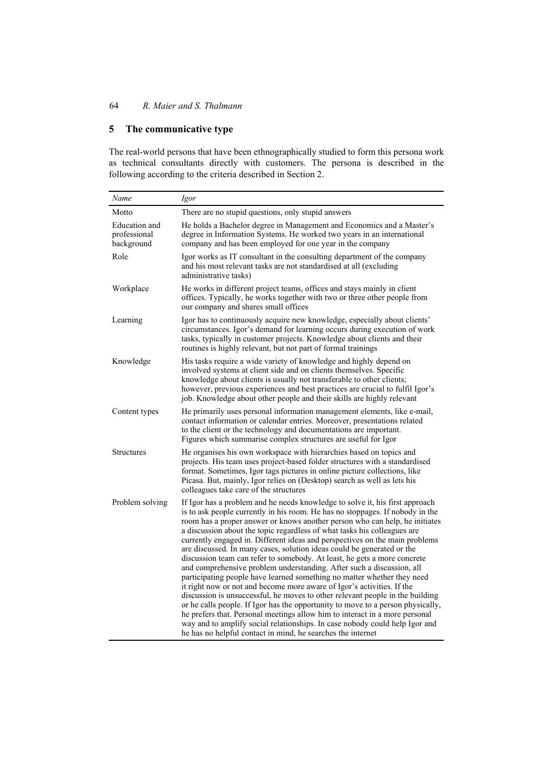# **5 The communicative type**

The real-world persons that have been ethnographically studied to form this persona work as technical consultants directly with customers. The persona is described in the following according to the criteria described in Section 2.

| Name                                        | Igor                                                                                                                                                                                                                                                                                                                                                                                                                                                                                                                                                                                                                                                                                                                                                                                                                                                                                                                                                                                                                                                                                                                                                                                         |
|---------------------------------------------|----------------------------------------------------------------------------------------------------------------------------------------------------------------------------------------------------------------------------------------------------------------------------------------------------------------------------------------------------------------------------------------------------------------------------------------------------------------------------------------------------------------------------------------------------------------------------------------------------------------------------------------------------------------------------------------------------------------------------------------------------------------------------------------------------------------------------------------------------------------------------------------------------------------------------------------------------------------------------------------------------------------------------------------------------------------------------------------------------------------------------------------------------------------------------------------------|
| Motto                                       | There are no stupid questions, only stupid answers                                                                                                                                                                                                                                                                                                                                                                                                                                                                                                                                                                                                                                                                                                                                                                                                                                                                                                                                                                                                                                                                                                                                           |
| Education and<br>professional<br>background | He holds a Bachelor degree in Management and Economics and a Master's<br>degree in Information Systems. He worked two years in an international<br>company and has been employed for one year in the company                                                                                                                                                                                                                                                                                                                                                                                                                                                                                                                                                                                                                                                                                                                                                                                                                                                                                                                                                                                 |
| Role                                        | Igor works as IT consultant in the consulting department of the company<br>and his most relevant tasks are not standardised at all (excluding<br>administrative tasks)                                                                                                                                                                                                                                                                                                                                                                                                                                                                                                                                                                                                                                                                                                                                                                                                                                                                                                                                                                                                                       |
| Workplace                                   | He works in different project teams, offices and stays mainly in client<br>offices. Typically, he works together with two or three other people from<br>our company and shares small offices                                                                                                                                                                                                                                                                                                                                                                                                                                                                                                                                                                                                                                                                                                                                                                                                                                                                                                                                                                                                 |
| Learning                                    | Igor has to continuously acquire new knowledge, especially about clients'<br>circumstances. Igor's demand for learning occurs during execution of work<br>tasks, typically in customer projects. Knowledge about clients and their<br>routines is highly relevant, but not part of formal trainings                                                                                                                                                                                                                                                                                                                                                                                                                                                                                                                                                                                                                                                                                                                                                                                                                                                                                          |
| Knowledge                                   | His tasks require a wide variety of knowledge and highly depend on<br>involved systems at client side and on clients themselves. Specific<br>knowledge about clients is usually not transferable to other clients;<br>however, previous experiences and best practices are crucial to fulfil Igor's<br>job. Knowledge about other people and their skills are highly relevant                                                                                                                                                                                                                                                                                                                                                                                                                                                                                                                                                                                                                                                                                                                                                                                                                |
| Content types                               | He primarily uses personal information management elements, like e-mail,<br>contact information or calendar entries. Moreover, presentations related<br>to the client or the technology and documentations are important.<br>Figures which summarise complex structures are useful for Igor                                                                                                                                                                                                                                                                                                                                                                                                                                                                                                                                                                                                                                                                                                                                                                                                                                                                                                  |
| <b>Structures</b>                           | He organises his own workspace with hierarchies based on topics and<br>projects. His team uses project-based folder structures with a standardised<br>format. Sometimes, Igor tags pictures in online picture collections, like<br>Picasa. But, mainly, Igor relies on (Desktop) search as well as lets his<br>colleagues take care of the structures                                                                                                                                                                                                                                                                                                                                                                                                                                                                                                                                                                                                                                                                                                                                                                                                                                        |
| Problem solving                             | If Igor has a problem and he needs knowledge to solve it, his first approach<br>is to ask people currently in his room. He has no stoppages. If nobody in the<br>room has a proper answer or knows another person who can help, he initiates<br>a discussion about the topic regardless of what tasks his colleagues are<br>currently engaged in. Different ideas and perspectives on the main problems<br>are discussed. In many cases, solution ideas could be generated or the<br>discussion team can refer to somebody. At least, he gets a more concrete<br>and comprehensive problem understanding. After such a discussion, all<br>participating people have learned something no matter whether they need<br>it right now or not and become more aware of Igor's activities. If the<br>discussion is unsuccessful, he moves to other relevant people in the building<br>or he calls people. If Igor has the opportunity to move to a person physically,<br>he prefers that. Personal meetings allow him to interact in a more personal<br>way and to amplify social relationships. In case nobody could help Igor and<br>he has no helpful contact in mind, he searches the internet |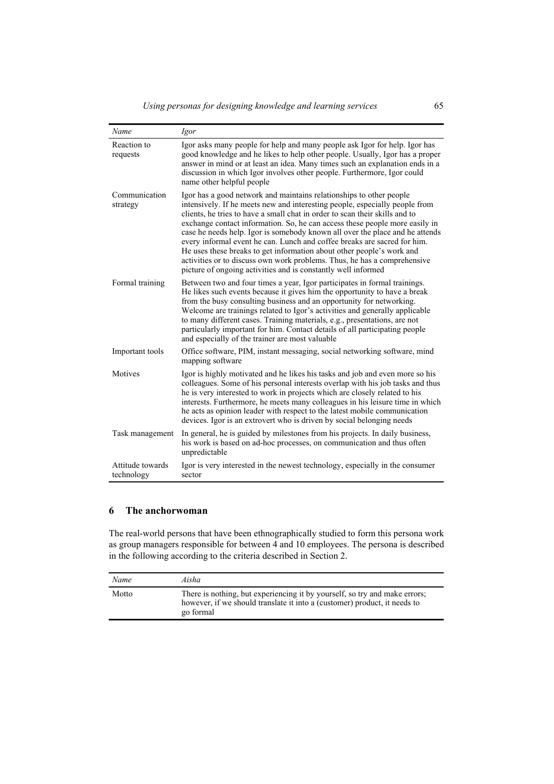| Name                           | Igor                                                                                                                                                                                                                                                                                                                                                                                                                                                                                                                                                                                                                                                                                               |
|--------------------------------|----------------------------------------------------------------------------------------------------------------------------------------------------------------------------------------------------------------------------------------------------------------------------------------------------------------------------------------------------------------------------------------------------------------------------------------------------------------------------------------------------------------------------------------------------------------------------------------------------------------------------------------------------------------------------------------------------|
| Reaction to<br>requests        | Igor asks many people for help and many people ask Igor for help. Igor has<br>good knowledge and he likes to help other people. Usually, Igor has a proper<br>answer in mind or at least an idea. Many times such an explanation ends in a<br>discussion in which Igor involves other people. Furthermore, Igor could<br>name other helpful people                                                                                                                                                                                                                                                                                                                                                 |
| Communication<br>strategy      | Igor has a good network and maintains relationships to other people<br>intensively. If he meets new and interesting people, especially people from<br>clients, he tries to have a small chat in order to scan their skills and to<br>exchange contact information. So, he can access these people more easily in<br>case he needs help. Igor is somebody known all over the place and he attends<br>every informal event he can. Lunch and coffee breaks are sacred for him.<br>He uses these breaks to get information about other people's work and<br>activities or to discuss own work problems. Thus, he has a comprehensive<br>picture of ongoing activities and is constantly well informed |
| Formal training                | Between two and four times a year, Igor participates in formal trainings.<br>He likes such events because it gives him the opportunity to have a break<br>from the busy consulting business and an opportunity for networking.<br>Welcome are trainings related to Igor's activities and generally applicable<br>to many different cases. Training materials, e.g., presentations, are not<br>particularly important for him. Contact details of all participating people<br>and especially of the trainer are most valuable                                                                                                                                                                       |
| Important tools                | Office software, PIM, instant messaging, social networking software, mind<br>mapping software                                                                                                                                                                                                                                                                                                                                                                                                                                                                                                                                                                                                      |
| <b>Motives</b>                 | Igor is highly motivated and he likes his tasks and job and even more so his<br>colleagues. Some of his personal interests overlap with his job tasks and thus<br>he is very interested to work in projects which are closely related to his<br>interests. Furthermore, he meets many colleagues in his leisure time in which<br>he acts as opinion leader with respect to the latest mobile communication<br>devices. Igor is an extrovert who is driven by social belonging needs                                                                                                                                                                                                                |
| Task management                | In general, he is guided by milestones from his projects. In daily business,<br>his work is based on ad-hoc processes, on communication and thus often<br>unpredictable                                                                                                                                                                                                                                                                                                                                                                                                                                                                                                                            |
| Attitude towards<br>technology | Igor is very interested in the newest technology, especially in the consumer<br>sector                                                                                                                                                                                                                                                                                                                                                                                                                                                                                                                                                                                                             |

# **6 The anchorwoman**

The real-world persons that have been ethnographically studied to form this persona work as group managers responsible for between 4 and 10 employees. The persona is described in the following according to the criteria described in Section 2.

| Name  | Aisha                                                                                                                                                                |
|-------|----------------------------------------------------------------------------------------------------------------------------------------------------------------------|
| Motto | There is nothing, but experiencing it by yourself, so try and make errors;<br>however, if we should translate it into a (customer) product, it needs to<br>go formal |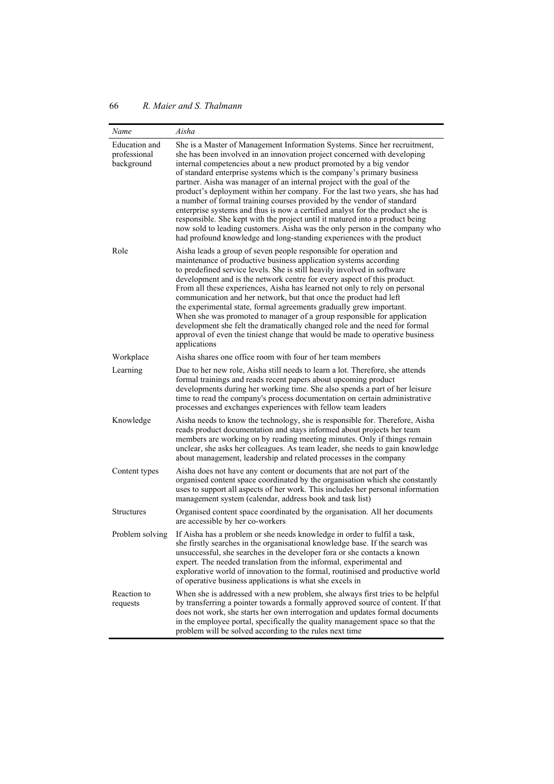| Name                                        | Aisha                                                                                                                                                                                                                                                                                                                                                                                                                                                                                                                                                                                                                                                                                                                                                                                                                                                              |
|---------------------------------------------|--------------------------------------------------------------------------------------------------------------------------------------------------------------------------------------------------------------------------------------------------------------------------------------------------------------------------------------------------------------------------------------------------------------------------------------------------------------------------------------------------------------------------------------------------------------------------------------------------------------------------------------------------------------------------------------------------------------------------------------------------------------------------------------------------------------------------------------------------------------------|
| Education and<br>professional<br>background | She is a Master of Management Information Systems. Since her recruitment,<br>she has been involved in an innovation project concerned with developing<br>internal competencies about a new product promoted by a big vendor<br>of standard enterprise systems which is the company's primary business<br>partner. Aisha was manager of an internal project with the goal of the<br>product's deployment within her company. For the last two years, she has had<br>a number of formal training courses provided by the vendor of standard<br>enterprise systems and thus is now a certified analyst for the product she is<br>responsible. She kept with the project until it matured into a product being<br>now sold to leading customers. Aisha was the only person in the company who<br>had profound knowledge and long-standing experiences with the product |
| Role                                        | Aisha leads a group of seven people responsible for operation and<br>maintenance of productive business application systems according<br>to predefined service levels. She is still heavily involved in software<br>development and is the network centre for every aspect of this product.<br>From all these experiences, Aisha has learned not only to rely on personal<br>communication and her network, but that once the product had left<br>the experimental state, formal agreements gradually grew important.<br>When she was promoted to manager of a group responsible for application<br>development she felt the dramatically changed role and the need for formal<br>approval of even the tiniest change that would be made to operative business<br>applications                                                                                     |
| Workplace                                   | Aisha shares one office room with four of her team members                                                                                                                                                                                                                                                                                                                                                                                                                                                                                                                                                                                                                                                                                                                                                                                                         |
| Learning                                    | Due to her new role, Aisha still needs to learn a lot. Therefore, she attends<br>formal trainings and reads recent papers about upcoming product<br>developments during her working time. She also spends a part of her leisure<br>time to read the company's process documentation on certain administrative<br>processes and exchanges experiences with fellow team leaders                                                                                                                                                                                                                                                                                                                                                                                                                                                                                      |
| Knowledge                                   | Aisha needs to know the technology, she is responsible for. Therefore, Aisha<br>reads product documentation and stays informed about projects her team<br>members are working on by reading meeting minutes. Only if things remain<br>unclear, she asks her colleagues. As team leader, she needs to gain knowledge<br>about management, leadership and related processes in the company                                                                                                                                                                                                                                                                                                                                                                                                                                                                           |
| Content types                               | Aisha does not have any content or documents that are not part of the<br>organised content space coordinated by the organisation which she constantly<br>uses to support all aspects of her work. This includes her personal information<br>management system (calendar, address book and task list)                                                                                                                                                                                                                                                                                                                                                                                                                                                                                                                                                               |
| Structures                                  | Organised content space coordinated by the organisation. All her documents<br>are accessible by her co-workers                                                                                                                                                                                                                                                                                                                                                                                                                                                                                                                                                                                                                                                                                                                                                     |
| Problem solving                             | If Aisha has a problem or she needs knowledge in order to fulfil a task,<br>she firstly searches in the organisational knowledge base. If the search was<br>unsuccessful, she searches in the developer fora or she contacts a known<br>expert. The needed translation from the informal, experimental and<br>explorative world of innovation to the formal, routinised and productive world<br>of operative business applications is what she excels in                                                                                                                                                                                                                                                                                                                                                                                                           |
| Reaction to<br>requests                     | When she is addressed with a new problem, she always first tries to be helpful<br>by transferring a pointer towards a formally approved source of content. If that<br>does not work, she starts her own interrogation and updates formal documents<br>in the employee portal, specifically the quality management space so that the<br>problem will be solved according to the rules next time                                                                                                                                                                                                                                                                                                                                                                                                                                                                     |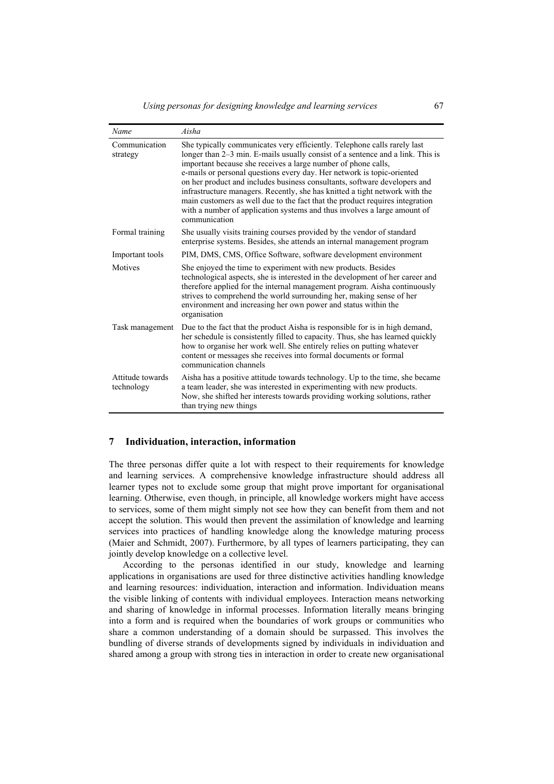| Name                           | Aisha                                                                                                                                                                                                                                                                                                                                                                                                                                                                                                                                                                                                                                          |
|--------------------------------|------------------------------------------------------------------------------------------------------------------------------------------------------------------------------------------------------------------------------------------------------------------------------------------------------------------------------------------------------------------------------------------------------------------------------------------------------------------------------------------------------------------------------------------------------------------------------------------------------------------------------------------------|
| Communication<br>strategy      | She typically communicates very efficiently. Telephone calls rarely last<br>longer than 2–3 min. E-mails usually consist of a sentence and a link. This is<br>important because she receives a large number of phone calls,<br>e-mails or personal questions every day. Her network is topic-oriented<br>on her product and includes business consultants, software developers and<br>infrastructure managers. Recently, she has knitted a tight network with the<br>main customers as well due to the fact that the product requires integration<br>with a number of application systems and thus involves a large amount of<br>communication |
| Formal training                | She usually visits training courses provided by the vendor of standard<br>enterprise systems. Besides, she attends an internal management program                                                                                                                                                                                                                                                                                                                                                                                                                                                                                              |
| Important tools                | PIM, DMS, CMS, Office Software, software development environment                                                                                                                                                                                                                                                                                                                                                                                                                                                                                                                                                                               |
| Motives                        | She enjoyed the time to experiment with new products. Besides<br>technological aspects, she is interested in the development of her career and<br>therefore applied for the internal management program. Aisha continuously<br>strives to comprehend the world surrounding her, making sense of her<br>environment and increasing her own power and status within the<br>organisation                                                                                                                                                                                                                                                          |
| Task management                | Due to the fact that the product Aisha is responsible for is in high demand,<br>her schedule is consistently filled to capacity. Thus, she has learned quickly<br>how to organise her work well. She entirely relies on putting whatever<br>content or messages she receives into formal documents or formal<br>communication channels                                                                                                                                                                                                                                                                                                         |
| Attitude towards<br>technology | Aisha has a positive attitude towards technology. Up to the time, she became<br>a team leader, she was interested in experimenting with new products.<br>Now, she shifted her interests towards providing working solutions, rather<br>than trying new things                                                                                                                                                                                                                                                                                                                                                                                  |

#### **7 Individuation, interaction, information**

The three personas differ quite a lot with respect to their requirements for knowledge and learning services. A comprehensive knowledge infrastructure should address all learner types not to exclude some group that might prove important for organisational learning. Otherwise, even though, in principle, all knowledge workers might have access to services, some of them might simply not see how they can benefit from them and not accept the solution. This would then prevent the assimilation of knowledge and learning services into practices of handling knowledge along the knowledge maturing process (Maier and Schmidt, 2007). Furthermore, by all types of learners participating, they can jointly develop knowledge on a collective level.

According to the personas identified in our study, knowledge and learning applications in organisations are used for three distinctive activities handling knowledge and learning resources: individuation, interaction and information. Individuation means the visible linking of contents with individual employees. Interaction means networking and sharing of knowledge in informal processes. Information literally means bringing into a form and is required when the boundaries of work groups or communities who share a common understanding of a domain should be surpassed. This involves the bundling of diverse strands of developments signed by individuals in individuation and shared among a group with strong ties in interaction in order to create new organisational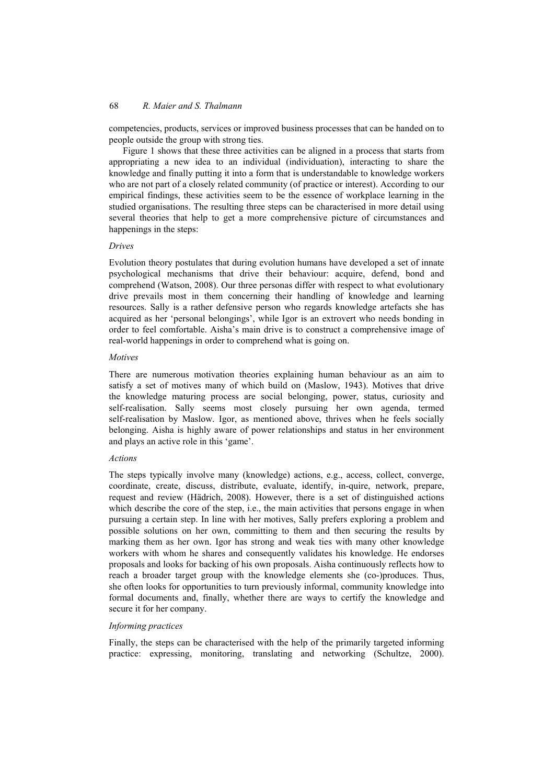competencies, products, services or improved business processes that can be handed on to people outside the group with strong ties.

Figure 1 shows that these three activities can be aligned in a process that starts from appropriating a new idea to an individual (individuation), interacting to share the knowledge and finally putting it into a form that is understandable to knowledge workers who are not part of a closely related community (of practice or interest). According to our empirical findings, these activities seem to be the essence of workplace learning in the studied organisations. The resulting three steps can be characterised in more detail using several theories that help to get a more comprehensive picture of circumstances and happenings in the steps:

#### *Drives*

Evolution theory postulates that during evolution humans have developed a set of innate psychological mechanisms that drive their behaviour: acquire, defend, bond and comprehend (Watson, 2008). Our three personas differ with respect to what evolutionary drive prevails most in them concerning their handling of knowledge and learning resources. Sally is a rather defensive person who regards knowledge artefacts she has acquired as her 'personal belongings', while Igor is an extrovert who needs bonding in order to feel comfortable. Aisha's main drive is to construct a comprehensive image of real-world happenings in order to comprehend what is going on.

#### *Motives*

There are numerous motivation theories explaining human behaviour as an aim to satisfy a set of motives many of which build on (Maslow, 1943). Motives that drive the knowledge maturing process are social belonging, power, status, curiosity and self-realisation. Sally seems most closely pursuing her own agenda, termed self-realisation by Maslow. Igor, as mentioned above, thrives when he feels socially belonging. Aisha is highly aware of power relationships and status in her environment and plays an active role in this 'game'.

#### *Actions*

The steps typically involve many (knowledge) actions, e.g., access, collect, converge, coordinate, create, discuss, distribute, evaluate, identify, in-quire, network, prepare, request and review (Hädrich, 2008). However, there is a set of distinguished actions which describe the core of the step, i.e., the main activities that persons engage in when pursuing a certain step. In line with her motives, Sally prefers exploring a problem and possible solutions on her own, committing to them and then securing the results by marking them as her own. Igor has strong and weak ties with many other knowledge workers with whom he shares and consequently validates his knowledge. He endorses proposals and looks for backing of his own proposals. Aisha continuously reflects how to reach a broader target group with the knowledge elements she (co-)produces. Thus, she often looks for opportunities to turn previously informal, community knowledge into formal documents and, finally, whether there are ways to certify the knowledge and secure it for her company.

#### *Informing practices*

Finally, the steps can be characterised with the help of the primarily targeted informing practice: expressing, monitoring, translating and networking (Schultze, 2000).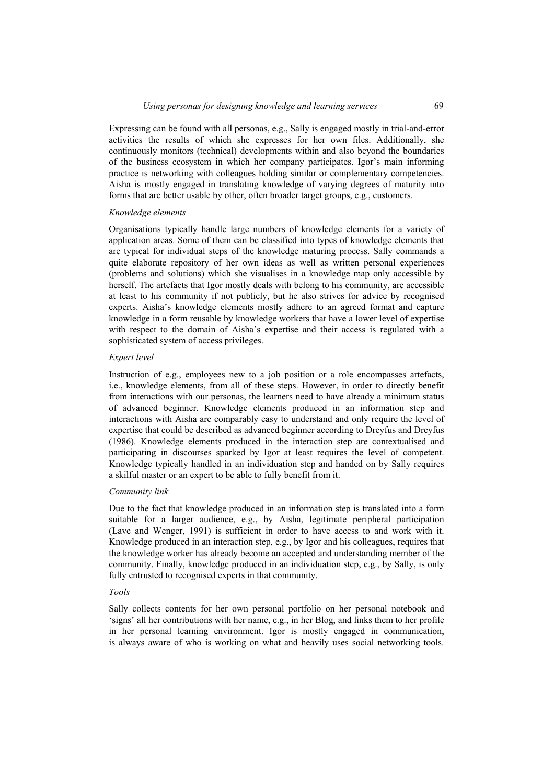Expressing can be found with all personas, e.g., Sally is engaged mostly in trial-and-error activities the results of which she expresses for her own files. Additionally, she continuously monitors (technical) developments within and also beyond the boundaries of the business ecosystem in which her company participates. Igor's main informing practice is networking with colleagues holding similar or complementary competencies. Aisha is mostly engaged in translating knowledge of varying degrees of maturity into forms that are better usable by other, often broader target groups, e.g., customers.

### *Knowledge elements*

Organisations typically handle large numbers of knowledge elements for a variety of application areas. Some of them can be classified into types of knowledge elements that are typical for individual steps of the knowledge maturing process. Sally commands a quite elaborate repository of her own ideas as well as written personal experiences (problems and solutions) which she visualises in a knowledge map only accessible by herself. The artefacts that Igor mostly deals with belong to his community, are accessible at least to his community if not publicly, but he also strives for advice by recognised experts. Aisha's knowledge elements mostly adhere to an agreed format and capture knowledge in a form reusable by knowledge workers that have a lower level of expertise with respect to the domain of Aisha's expertise and their access is regulated with a sophisticated system of access privileges.

#### *Expert level*

Instruction of e.g., employees new to a job position or a role encompasses artefacts, i.e., knowledge elements, from all of these steps. However, in order to directly benefit from interactions with our personas, the learners need to have already a minimum status of advanced beginner. Knowledge elements produced in an information step and interactions with Aisha are comparably easy to understand and only require the level of expertise that could be described as advanced beginner according to Dreyfus and Dreyfus (1986). Knowledge elements produced in the interaction step are contextualised and participating in discourses sparked by Igor at least requires the level of competent. Knowledge typically handled in an individuation step and handed on by Sally requires a skilful master or an expert to be able to fully benefit from it.

#### *Community link*

Due to the fact that knowledge produced in an information step is translated into a form suitable for a larger audience, e.g., by Aisha, legitimate peripheral participation (Lave and Wenger, 1991) is sufficient in order to have access to and work with it. Knowledge produced in an interaction step, e.g., by Igor and his colleagues, requires that the knowledge worker has already become an accepted and understanding member of the community. Finally, knowledge produced in an individuation step, e.g., by Sally, is only fully entrusted to recognised experts in that community.

#### *Tools*

Sally collects contents for her own personal portfolio on her personal notebook and 'signs' all her contributions with her name, e.g., in her Blog, and links them to her profile in her personal learning environment. Igor is mostly engaged in communication, is always aware of who is working on what and heavily uses social networking tools.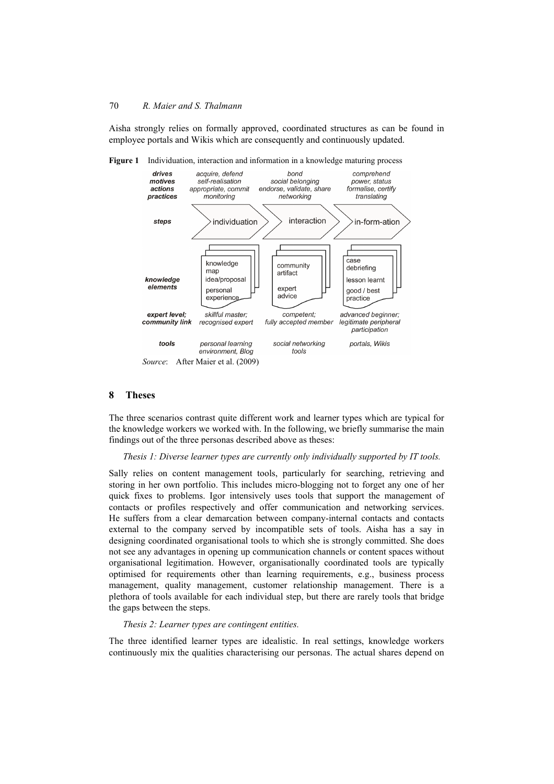Aisha strongly relies on formally approved, coordinated structures as can be found in employee portals and Wikis which are consequently and continuously updated.





### **8 Theses**

The three scenarios contrast quite different work and learner types which are typical for the knowledge workers we worked with. In the following, we briefly summarise the main findings out of the three personas described above as theses:

#### *Thesis 1: Diverse learner types are currently only individually supported by IT tools.*

Sally relies on content management tools, particularly for searching, retrieving and storing in her own portfolio. This includes micro-blogging not to forget any one of her quick fixes to problems. Igor intensively uses tools that support the management of contacts or profiles respectively and offer communication and networking services. He suffers from a clear demarcation between company-internal contacts and contacts external to the company served by incompatible sets of tools. Aisha has a say in designing coordinated organisational tools to which she is strongly committed. She does not see any advantages in opening up communication channels or content spaces without organisational legitimation. However, organisationally coordinated tools are typically optimised for requirements other than learning requirements, e.g., business process management, quality management, customer relationship management. There is a plethora of tools available for each individual step, but there are rarely tools that bridge the gaps between the steps.

#### *Thesis 2: Learner types are contingent entities.*

The three identified learner types are idealistic. In real settings, knowledge workers continuously mix the qualities characterising our personas. The actual shares depend on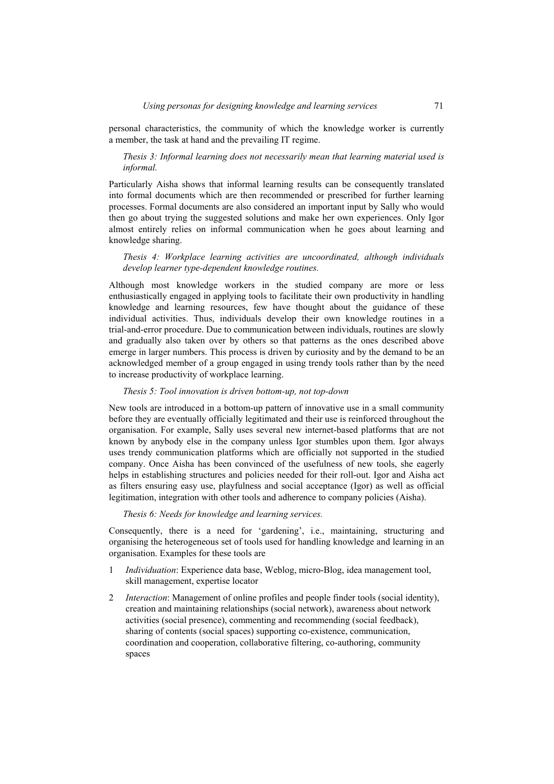personal characteristics, the community of which the knowledge worker is currently a member, the task at hand and the prevailing IT regime.

# *Thesis 3: Informal learning does not necessarily mean that learning material used is informal.*

Particularly Aisha shows that informal learning results can be consequently translated into formal documents which are then recommended or prescribed for further learning processes. Formal documents are also considered an important input by Sally who would then go about trying the suggested solutions and make her own experiences. Only Igor almost entirely relies on informal communication when he goes about learning and knowledge sharing.

### *Thesis 4: Workplace learning activities are uncoordinated, although individuals develop learner type-dependent knowledge routines.*

Although most knowledge workers in the studied company are more or less enthusiastically engaged in applying tools to facilitate their own productivity in handling knowledge and learning resources, few have thought about the guidance of these individual activities. Thus, individuals develop their own knowledge routines in a trial-and-error procedure. Due to communication between individuals, routines are slowly and gradually also taken over by others so that patterns as the ones described above emerge in larger numbers. This process is driven by curiosity and by the demand to be an acknowledged member of a group engaged in using trendy tools rather than by the need to increase productivity of workplace learning.

# *Thesis 5: Tool innovation is driven bottom-up, not top-down*

New tools are introduced in a bottom-up pattern of innovative use in a small community before they are eventually officially legitimated and their use is reinforced throughout the organisation. For example, Sally uses several new internet-based platforms that are not known by anybody else in the company unless Igor stumbles upon them. Igor always uses trendy communication platforms which are officially not supported in the studied company. Once Aisha has been convinced of the usefulness of new tools, she eagerly helps in establishing structures and policies needed for their roll-out. Igor and Aisha act as filters ensuring easy use, playfulness and social acceptance (Igor) as well as official legitimation, integration with other tools and adherence to company policies (Aisha).

*Thesis 6: Needs for knowledge and learning services.* 

Consequently, there is a need for 'gardening', i.e., maintaining, structuring and organising the heterogeneous set of tools used for handling knowledge and learning in an organisation. Examples for these tools are

- 1 *Individuation*: Experience data base, Weblog, micro-Blog, idea management tool, skill management, expertise locator
- 2 *Interaction*: Management of online profiles and people finder tools (social identity), creation and maintaining relationships (social network), awareness about network activities (social presence), commenting and recommending (social feedback), sharing of contents (social spaces) supporting co-existence, communication, coordination and cooperation, collaborative filtering, co-authoring, community spaces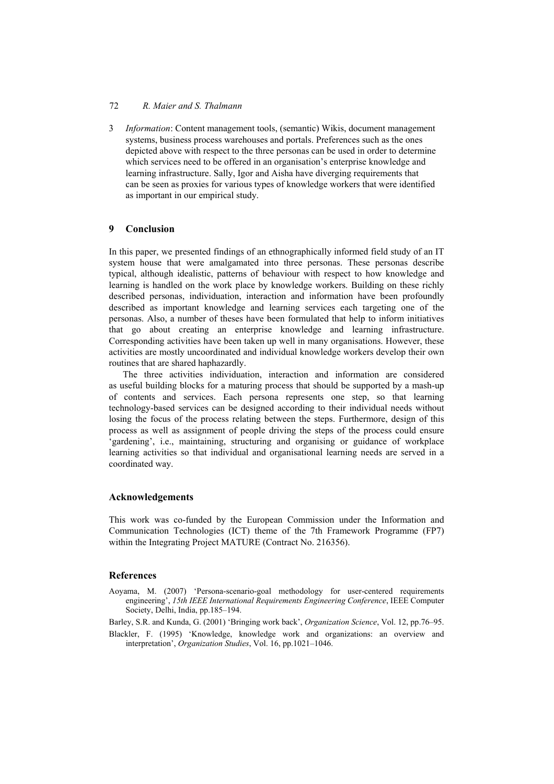3 *Information*: Content management tools, (semantic) Wikis, document management systems, business process warehouses and portals. Preferences such as the ones depicted above with respect to the three personas can be used in order to determine which services need to be offered in an organisation's enterprise knowledge and learning infrastructure. Sally, Igor and Aisha have diverging requirements that can be seen as proxies for various types of knowledge workers that were identified as important in our empirical study.

# **9 Conclusion**

In this paper, we presented findings of an ethnographically informed field study of an IT system house that were amalgamated into three personas. These personas describe typical, although idealistic, patterns of behaviour with respect to how knowledge and learning is handled on the work place by knowledge workers. Building on these richly described personas, individuation, interaction and information have been profoundly described as important knowledge and learning services each targeting one of the personas. Also, a number of theses have been formulated that help to inform initiatives that go about creating an enterprise knowledge and learning infrastructure. Corresponding activities have been taken up well in many organisations. However, these activities are mostly uncoordinated and individual knowledge workers develop their own routines that are shared haphazardly.

The three activities individuation, interaction and information are considered as useful building blocks for a maturing process that should be supported by a mash-up of contents and services. Each persona represents one step, so that learning technology-based services can be designed according to their individual needs without losing the focus of the process relating between the steps. Furthermore, design of this process as well as assignment of people driving the steps of the process could ensure 'gardening', i.e., maintaining, structuring and organising or guidance of workplace learning activities so that individual and organisational learning needs are served in a coordinated way.

# **Acknowledgements**

This work was co-funded by the European Commission under the Information and Communication Technologies (ICT) theme of the 7th Framework Programme (FP7) within the Integrating Project MATURE (Contract No. 216356).

# **References**

Aoyama, M. (2007) 'Persona-scenario-goal methodology for user-centered requirements engineering', *15th IEEE International Requirements Engineering Conference*, IEEE Computer Society, Delhi, India, pp.185–194.

Barley, S.R. and Kunda, G. (2001) 'Bringing work back', *Organization Science*, Vol. 12, pp.76–95.

Blackler, F. (1995) 'Knowledge, knowledge work and organizations: an overview and interpretation', *Organization Studies*, Vol. 16, pp.1021–1046.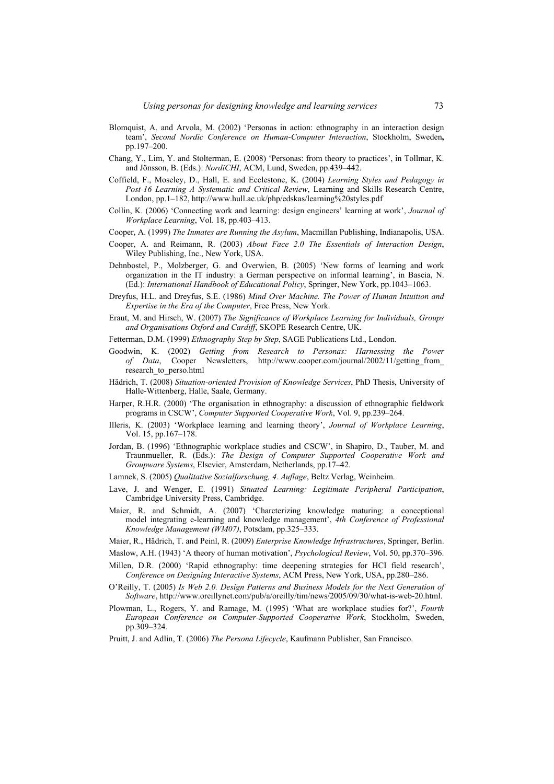- Blomquist, A. and Arvola, M. (2002) 'Personas in action: ethnography in an interaction design team', *Second Nordic Conference on Human-Computer Interaction*, Stockholm, Sweden**,** pp.197–200.
- Chang, Y., Lim, Y. and Stolterman, E. (2008) 'Personas: from theory to practices', in Tollmar, K. and Jönsson, B. (Eds.): *NordiCHI*, ACM, Lund, Sweden, pp.439–442.
- Coffield, F., Moseley, D., Hall, E. and Ecclestone, K. (2004) *Learning Styles and Pedagogy in Post-16 Learning A Systematic and Critical Review*, Learning and Skills Research Centre, London, pp.1–182, http://www.hull.ac.uk/php/edskas/learning%20styles.pdf
- Collin, K. (2006) 'Connecting work and learning: design engineers' learning at work', *Journal of Workplace Learning*, Vol. 18, pp.403–413.
- Cooper, A. (1999) *The Inmates are Running the Asylum*, Macmillan Publishing, Indianapolis, USA.
- Cooper, A. and Reimann, R. (2003) *About Face 2.0 The Essentials of Interaction Design*, Wiley Publishing, Inc., New York, USA.
- Dehnbostel, P., Molzberger, G. and Overwien, B. (2005) 'New forms of learning and work organization in the IT industry: a German perspective on informal learning', in Bascia, N. (Ed.): *International Handbook of Educational Policy*, Springer, New York, pp.1043–1063.
- Dreyfus, H.L. and Dreyfus, S.E. (1986) *Mind Over Machine. The Power of Human Intuition and Expertise in the Era of the Computer*, Free Press, New York.
- Eraut, M. and Hirsch, W. (2007) *The Significance of Workplace Learning for Individuals, Groups and Organisations Oxford and Cardiff*, SKOPE Research Centre, UK.
- Fetterman, D.M. (1999) *Ethnography Step by Step*, SAGE Publications Ltd., London.
- Goodwin, K. (2002) *Getting from Research to Personas: Harnessing the Power of Data*, Cooper Newsletters, http://www.cooper.com/journal/2002/11/getting\_from\_ research\_to\_perso.html
- Hädrich, T. (2008) *Situation-oriented Provision of Knowledge Services*, PhD Thesis, University of Halle-Wittenberg, Halle, Saale, Germany.
- Harper, R.H.R. (2000) 'The organisation in ethnography: a discussion of ethnographic fieldwork programs in CSCW', *Computer Supported Cooperative Work*, Vol. 9, pp.239–264.
- Illeris, K. (2003) 'Workplace learning and learning theory', *Journal of Workplace Learning*, Vol. 15, pp.167–178.
- Jordan, B. (1996) 'Ethnographic workplace studies and CSCW', in Shapiro, D., Tauber, M. and Traunmueller, R. (Eds.): *The Design of Computer Supported Cooperative Work and Groupware Systems*, Elsevier, Amsterdam, Netherlands, pp.17–42.
- Lamnek, S. (2005) *Qualitative Sozialforschung, 4. Auflage*, Beltz Verlag, Weinheim.
- Lave, J. and Wenger, E. (1991) *Situated Learning: Legitimate Peripheral Participation*, Cambridge University Press, Cambridge.
- Maier, R. and Schmidt, A. (2007) 'Charcterizing knowledge maturing: a conceptional model integrating e-learning and knowledge management', *4th Conference of Professional Knowledge Management (WM07)*, Potsdam, pp.325–333.
- Maier, R., Hädrich, T. and Peinl, R. (2009) *Enterprise Knowledge Infrastructures*, Springer, Berlin.
- Maslow, A.H. (1943) 'A theory of human motivation', *Psychological Review*, Vol. 50, pp.370–396.
- Millen, D.R. (2000) 'Rapid ethnography: time deepening strategies for HCI field research', *Conference on Designing Interactive Systems*, ACM Press, New York, USA, pp.280–286.
- O'Reilly, T. (2005) *Is Web 2.0. Design Patterns and Business Models for the Next Generation of Software*, http://www.oreillynet.com/pub/a/oreilly/tim/news/2005/09/30/what-is-web-20.html.
- Plowman, L., Rogers, Y. and Ramage, M. (1995) 'What are workplace studies for?', *Fourth European Conference on Computer-Supported Cooperative Work*, Stockholm, Sweden, pp.309–324.
- Pruitt, J. and Adlin, T. (2006) *The Persona Lifecycle*, Kaufmann Publisher, San Francisco.